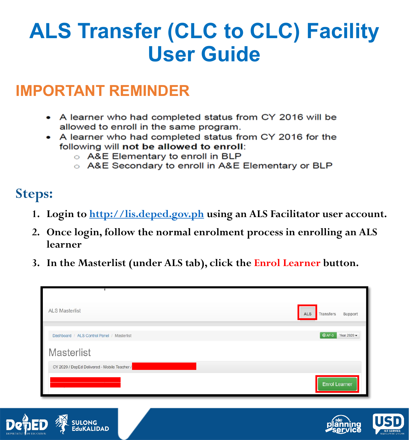# **ALS Transfer (CLC to CLC) Facility User Guide**

### **IMPORTANT REMINDER**

- A learner who had completed status from CY 2016 will be allowed to enroll in the same program.
- A learner who had completed status from CY 2016 for the following will not be allowed to enroll:
	- A&E Elementary to enroll in BLP
	- A&E Secondary to enroll in A&E Elementary or BLP

### **Steps:**

- **1. Login to [http://lis.deped.gov.ph](http://lis.deped.gov.ph/) using an ALS Facilitator user account.**
- **2. Once login, follow the normal enrolment process in enrolling an ALS learner**
- **3. In the Masterlist (under ALS tab), click the Enrol Learner button.**

| Dashboard / ALS Control Panel / Masterlist   | $QAF-3$ | Year 2020 $\star$    |
|----------------------------------------------|---------|----------------------|
|                                              |         |                      |
| Masterlist                                   |         |                      |
| CY 2020 / DepEd Delivered - Mobile Teacher / |         | <b>Enrol Learner</b> |

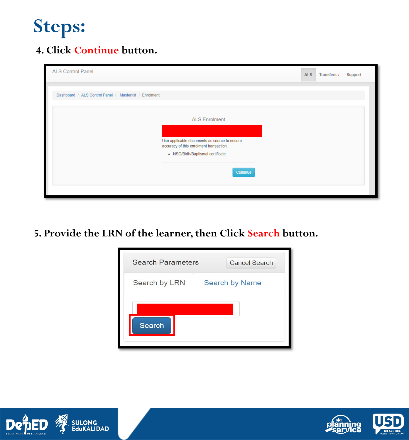#### **4. Click Continue button.**

| <b>ALS Control Panel</b>                               |                                                                                                                                                                  | <b>ALS</b> | <b>Transfers 2</b> | Support |
|--------------------------------------------------------|------------------------------------------------------------------------------------------------------------------------------------------------------------------|------------|--------------------|---------|
| Dashboard / ALS Control Panel / Masterlist / Enrolment |                                                                                                                                                                  |            |                    |         |
|                                                        | <b>ALS Enrolment</b><br>Use applicable documents as source to ensure<br>accuracy of this enrolment transaction.<br>• NSO/Birth/Baptismal certificate<br>Continue |            |                    |         |

**5. Provide the LRN of the learner, then Click Search button.**





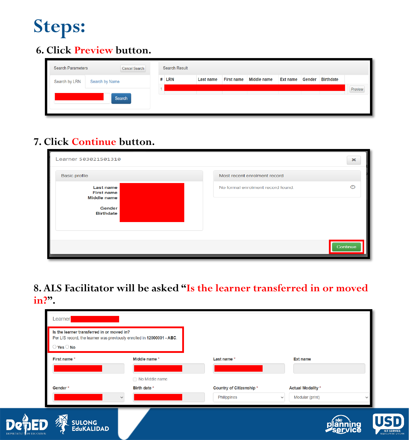#### **6. Click Preview button.**

| <b>Search Parameters</b><br>Cancel Search<br>Search by LRN<br>Search by Name |        | <b>Search Result</b> |                  |                   |             |          |        |                  |         |
|------------------------------------------------------------------------------|--------|----------------------|------------------|-------------------|-------------|----------|--------|------------------|---------|
|                                                                              |        | $#$ LRN              | <b>Last name</b> | <b>First name</b> | Middle name | Ext name | Gender | <b>Birthdate</b> |         |
|                                                                              | Search |                      |                  |                   |             |          |        |                  | Preview |

#### **7. Click Continue button.**

| Learner 503021501310                                                                      |                                   | $\boldsymbol{\times}$ |
|-------------------------------------------------------------------------------------------|-----------------------------------|-----------------------|
| <b>Basic profile</b>                                                                      | Most recent enrolment record      |                       |
| <b>Last name</b><br><b>First name</b><br><b>Middle name</b><br>Gender<br><b>Birthdate</b> | No formal enrolment record found. | $\odot$               |
|                                                                                           |                                   | Continue              |

**8. ALS Facilitator will be asked "Is the learner transferred in or moved in?".**

| Learner<br>Is the learner transferred in or moved in? |                                                                        |                         |                                 |             |
|-------------------------------------------------------|------------------------------------------------------------------------|-------------------------|---------------------------------|-------------|
| $\bigcirc$ Yes $\bigcirc$ No                          | Per LIS record, the learner was previously enrolled in 12000001 - ABC. |                         |                                 |             |
| First name *                                          | Middle name *                                                          | Last name *             | <b>Ext name</b>                 |             |
|                                                       | No Middle name                                                         |                         |                                 |             |
| Gender*                                               | Birth date *                                                           | Country of Citizenship* | <b>Actual Modality *</b>        |             |
|                                                       |                                                                        | Philippines             | Modular (print)<br>$\checkmark$ | $\check{ }$ |
| <b>SULONG<br/>EduKALIDAD</b>                          |                                                                        |                         |                                 |             |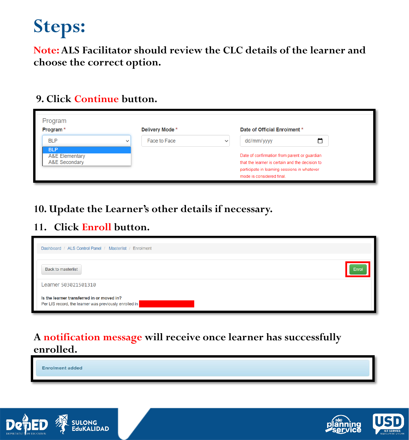**Note: ALS Facilitator should review the CLC details of the learner and choose the correct option.**

#### **9. Click Continue button.**

| Program<br>Program <sup>*</sup>                                                   |              | Delivery Mode * |              | Date of Official Enrolment *                                                                                                                                                               |   |
|-----------------------------------------------------------------------------------|--------------|-----------------|--------------|--------------------------------------------------------------------------------------------------------------------------------------------------------------------------------------------|---|
| <b>BLP</b><br><b>BLP</b><br><b>A&amp;E Elementary</b><br><b>A&amp;E Secondary</b> | $\checkmark$ | Face to Face    | $\checkmark$ | dd/mm/yyyy<br>Date of confirmation from parent or guardian<br>that the learner is certain and the decision to<br>participate in learning sessions in whatever<br>mode is considered final. | □ |

#### **10. Update the Learner's other details if necessary.**

#### **11. Click Enroll button.**

| Dashboard / ALS Control Panel / Masterlist / Enrolment                                               |       |
|------------------------------------------------------------------------------------------------------|-------|
| Back to masterlist                                                                                   | Enrol |
| Learner 503021501310                                                                                 |       |
| Is the learner transferred in or moved in?<br>Per LIS record, the learner was previously enrolled in |       |

#### **A notification message will receive once learner has successfully enrolled.**

**Enrolment added** 



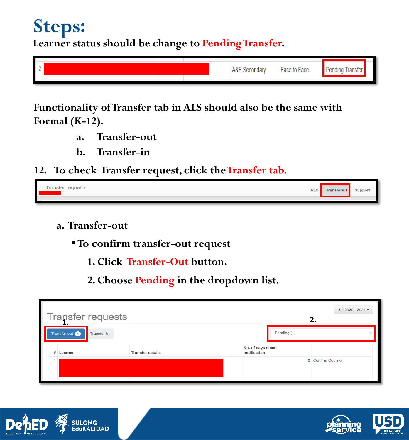**Learner status should be change to Pending Transfer.**

| L<br>. C 17 |  |  | condar:<br>Ačt<br>. YH | Face to Face | Pending |  |
|-------------|--|--|------------------------|--------------|---------|--|
|             |  |  |                        |              |         |  |
|             |  |  |                        |              |         |  |

**Functionality of Transfer tab in ALS should also be the same with Formal (K-12).** 

- **a. Transfer-out**
- **b. Transfer-in**
- **12. To check Transfer request, click the Transfer tab.**

| -<br>requests<br>ranster<br>$\sim$<br>$\sim$ $\sim$ $\sim$<br>∼ |  | -<br>7.119393 |
|-----------------------------------------------------------------|--|---------------|
|                                                                 |  |               |

- **a. Transfer-out**
	- **To confirm transfer-out request**
		- **1. Click Transfer-Out button.**
		- **2. Choose Pending in the dropdown list.**

| Transfer requests<br>∸                   |                         |                                   |             | SY 2020 - 2021 -  |
|------------------------------------------|-------------------------|-----------------------------------|-------------|-------------------|
| Transfer-out <sup>1</sup><br>Transfer-in |                         |                                   | Pending (1) | $\checkmark$      |
| # Learner                                | <b>Transfer details</b> | No. of days since<br>notification |             |                   |
|                                          |                         |                                   |             | 0 Confirm Decline |



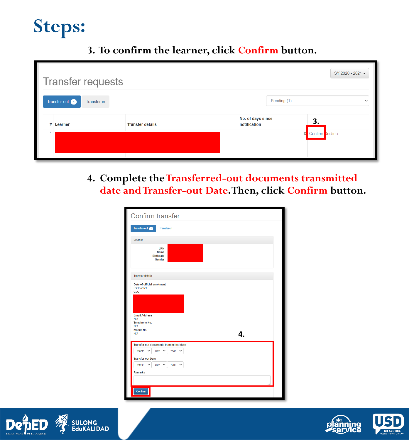#### **3. To confirm the learner, click Confirm button.**

| <b>Transfer requests</b>                 |                         |                                   |             | SY 2020 - 2021 -  |
|------------------------------------------|-------------------------|-----------------------------------|-------------|-------------------|
| Transfer-out <sup>1</sup><br>Transfer-in |                         |                                   | Pending (1) | $\checkmark$      |
| # Learner                                | <b>Transfer details</b> | No. of days since<br>notification |             | з.                |
|                                          |                         |                                   |             | 0 Confirm Decline |

**4. Complete theTransferred-out documents transmitted date and Transfer-out Date. Then, click Confirm button.**

| Confirm transfer                                                               |                      |
|--------------------------------------------------------------------------------|----------------------|
| Transfer-out <b>O</b><br><b>Transfer-in</b>                                    |                      |
| Learner                                                                        |                      |
| LRN<br><b>Name</b><br><b>Birthdate</b><br>Gender                               |                      |
| <b>Transfer details</b>                                                        |                      |
| Date of official enrolment<br>03/18/2021<br><b>CLC</b><br><b>Email Address</b> |                      |
| <b>N/A</b><br><b>Telephone No.</b><br><b>N/A</b><br>Mobile No.                 |                      |
| <b>N/A</b>                                                                     | 4.                   |
| Transfer-out documents transmitted date                                        |                      |
| Month $\sim$<br>Day $\sim$                                                     | Year<br>$\checkmark$ |
| <b>Transfer-out Date</b>                                                       |                      |
| Month $\sim$<br>Day $\sim$<br><b>Remarks</b>                                   | Year<br>$\checkmark$ |
| Confirm                                                                        |                      |





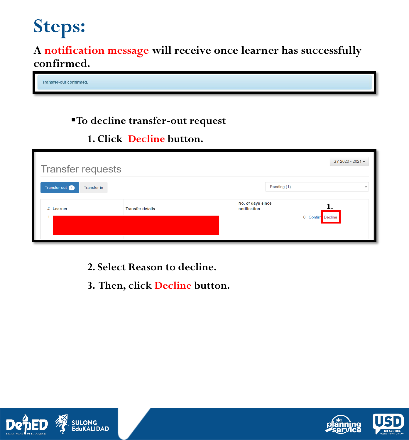**A notification message will receive once learner has successfully confirmed.**

Transfer-out confirmed.

#### **To decline transfer-out request**

#### **1. Click Decline button.**

| SY 2020 - 2021 -<br><b>Transfer requests</b> |                             |                         |                                   |             |                   |  |  |  |
|----------------------------------------------|-----------------------------|-------------------------|-----------------------------------|-------------|-------------------|--|--|--|
|                                              | Transfer-out<br>Transfer-in |                         |                                   | Pending (1) | $\checkmark$      |  |  |  |
|                                              | # Learner                   | <b>Transfer details</b> | No. of days since<br>notification |             |                   |  |  |  |
|                                              |                             |                         |                                   |             | 0 Confirm Decline |  |  |  |
|                                              |                             |                         |                                   |             |                   |  |  |  |

- **2. Select Reason to decline.**
- **3. Then, click Decline button.**



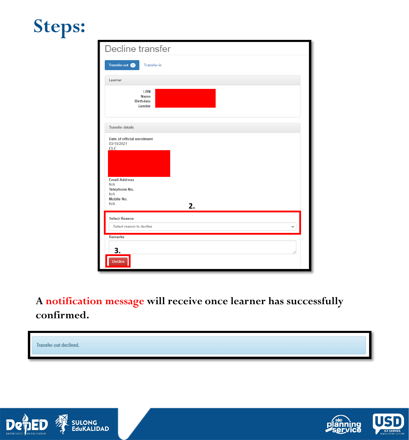| <b>Decline transfer</b>                                                                                                                  |  |  |  |  |  |  |
|------------------------------------------------------------------------------------------------------------------------------------------|--|--|--|--|--|--|
| Transfer-out <sup>1</sup><br><b>Transfer-in</b>                                                                                          |  |  |  |  |  |  |
| Learner                                                                                                                                  |  |  |  |  |  |  |
| LRN<br><b>Name</b><br><b>Birthdate</b><br>Gender                                                                                         |  |  |  |  |  |  |
| <b>Transfer details</b>                                                                                                                  |  |  |  |  |  |  |
| Date of official enrolment<br>03/18/2021<br><b>CLC</b><br><b>Email Address</b><br>N/A<br>Telephone No.<br>N/A<br>Mobile No.<br>N/A<br>2. |  |  |  |  |  |  |
| <b>Select Reason</b><br>Select reason to decline<br>$\checkmark$                                                                         |  |  |  |  |  |  |
| <b>Remarks</b><br>3.<br>Decline                                                                                                          |  |  |  |  |  |  |

**A notification message will receive once learner has successfully confirmed.**





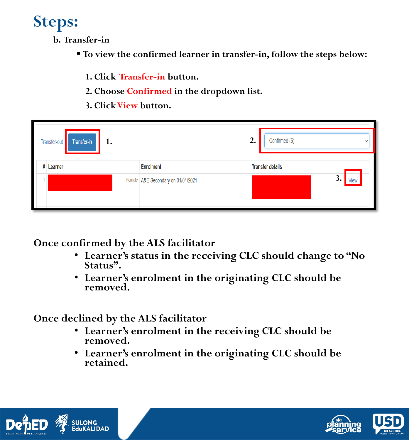**b. Transfer-in**

- **To view the confirmed learner in transfer-in, follow the steps below:**
	- **1. Click Transfer-in button.**
	- **2. Choose Confirmed in the dropdown list.**
	- **3. Click View button.**

| Transfer-out<br>Transfer-in<br>1. | 2.                                   | Confirmed (5)<br>$\checkmark$ |                         |
|-----------------------------------|--------------------------------------|-------------------------------|-------------------------|
| # Learner                         | <b>Enrolment</b>                     |                               | <b>Transfer details</b> |
| $\overline{\phantom{a}}$          | Female   A&E Secondary on 01/01/2021 |                               | 3.<br>√iev              |

**Once confirmed by the ALS facilitator**

- **Learner's status in the receiving CLC should change to "No Status".**
- **Learner's enrolment in the originating CLC should be removed.**

**Once declined by the ALS facilitator**

- **Learner's enrolment in the receiving CLC should be removed.**
- **Learner's enrolment in the originating CLC should be retained.**